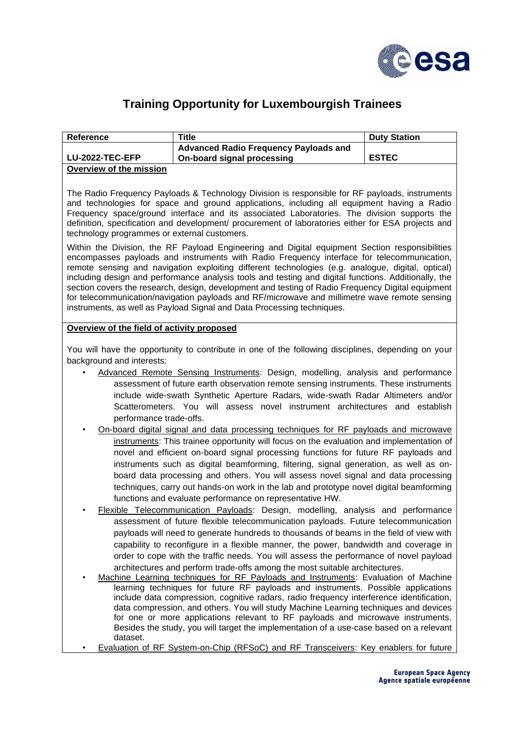

## **Training Opportunity for Luxembourgish Trainees**

| <b>Reference</b>        | ™itle                                                                      | <b>Duty Station</b> |
|-------------------------|----------------------------------------------------------------------------|---------------------|
| <b>LU-2022-TEC-EFP</b>  | <b>Advanced Radio Frequency Payloads and</b><br>On-board signal processing | <b>ESTEC</b>        |
| Overview of the mission |                                                                            |                     |
|                         |                                                                            |                     |

The Radio Frequency Payloads & Technology Division is responsible for RF payloads, instruments and technologies for space and ground applications, including all equipment having a Radio Frequency space/ground interface and its associated Laboratories. The division supports the definition, specification and development/ procurement of laboratories either for ESA projects and technology programmes or external customers.

Within the Division, the RF Payload Engineering and Digital equipment Section responsibilities encompasses payloads and instruments with Radio Frequency interface for telecommunication, remote sensing and navigation exploiting different technologies (e.g. analogue, digital, optical) including design and performance analysis tools and testing and digital functions. Additionally, the section covers the research, design, development and testing of Radio Frequency Digital equipment for telecommunication/navigation payloads and RF/microwave and millimetre wave remote sensing instruments, as well as Payload Signal and Data Processing techniques.

## **Overview of the field of activity proposed**

You will have the opportunity to contribute in one of the following disciplines, depending on your background and interests:

- Advanced Remote Sensing Instruments: Design, modelling, analysis and performance assessment of future earth observation remote sensing instruments. These instruments include wide-swath Synthetic Aperture Radars, wide-swath Radar Altimeters and/or Scatterometers. You will assess novel instrument architectures and establish performance trade-offs.
- On-board digital signal and data processing techniques for RF payloads and microwave instruments: This trainee opportunity will focus on the evaluation and implementation of novel and efficient on-board signal processing functions for future RF payloads and instruments such as digital beamforming, filtering, signal generation, as well as onboard data processing and others. You will assess novel signal and data processing techniques, carry out hands-on work in the lab and prototype novel digital beamforming functions and evaluate performance on representative HW.
- Flexible Telecommunication Payloads: Design, modelling, analysis and performance assessment of future flexible telecommunication payloads. Future telecommunication payloads will need to generate hundreds to thousands of beams in the field of view with capability to reconfigure in a flexible manner, the power, bandwidth and coverage in order to cope with the traffic needs. You will assess the performance of novel payload architectures and perform trade-offs among the most suitable architectures.
- Machine Learning techniques for RF Payloads and Instruments: Evaluation of Machine learning techniques for future RF payloads and instruments. Possible applications include data compression, cognitive radars, radio frequency interference identification, data compression, and others. You will study Machine Learning techniques and devices for one or more applications relevant to RF payloads and microwave instruments. Besides the study, you will target the implementation of a use-case based on a relevant dataset.
- Evaluation of RF System-on-Chip (RFSoC) and RF Transceivers: Key enablers for future